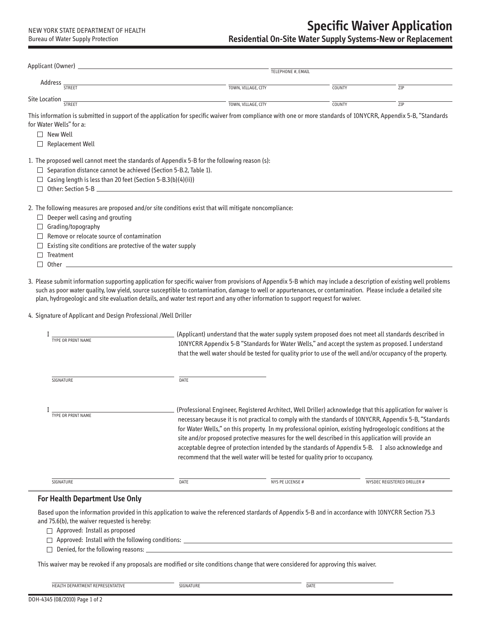|                                                                                                                                                                 | TELEPHONE #, EMAIL      |        |     |
|-----------------------------------------------------------------------------------------------------------------------------------------------------------------|-------------------------|--------|-----|
| Address<br><b>STREET</b>                                                                                                                                        | $-$ TOWN, VILLAGE, CITY | COUNTY | ZIP |
| Site Location                                                                                                                                                   |                         |        |     |
| STREET                                                                                                                                                          | TOWN, VILLAGE, CITY     | COUNTY | ZIP |
| This information is submitted in support of the application for specific waiver from compliance with one or more standards of 10NYCRR, Appendix 5-B, "Standards |                         |        |     |
| for Water Wells" for a:                                                                                                                                         |                         |        |     |
| New Well<br>П                                                                                                                                                   |                         |        |     |
| Replacement Well<br>П                                                                                                                                           |                         |        |     |
|                                                                                                                                                                 |                         |        |     |
| 1. The proposed well cannot meet the standards of Appendix 5-B for the following reason (s):                                                                    |                         |        |     |
| Separation distance cannot be achieved (Section 5-B.2, Table 1).                                                                                                |                         |        |     |
| Casing length is less than 20 feet (Section 5-B.3(b)(4)(ii))<br>$\Box$                                                                                          |                         |        |     |
|                                                                                                                                                                 |                         |        |     |
|                                                                                                                                                                 |                         |        |     |
| 2. The following measures are proposed and/or site conditions exist that will mitigate noncompliance:                                                           |                         |        |     |
| Deeper well casing and grouting                                                                                                                                 |                         |        |     |
| Grading/topography                                                                                                                                              |                         |        |     |
| Remove or relocate source of contamination                                                                                                                      |                         |        |     |
| Existing site conditions are protective of the water supply                                                                                                     |                         |        |     |
| Treatment                                                                                                                                                       |                         |        |     |
|                                                                                                                                                                 |                         |        |     |

3. Please submit information supporting application for specific waiver from provisions of Appendix 5-B which may include a description of existing well problems such as poor water quality, low yield, source susceptible to contamination, damage to well or appurtenances, or contamination. Please include a detailed site plan, hydrogeologic and site evaluation details, and water test report and any other information to support request for waiver.

4. Signature of Applicant and Design Professional /Well Driller

| TYPE OR PRINT NAME        | (Applicant) understand that the water supply system proposed does not meet all standards described in<br>10NYCRR Appendix 5-B "Standards for Water Wells," and accept the system as proposed. I understand<br>that the well water should be tested for quality prior to use of the well and/or occupancy of the property. |                                                                                                                                                                                     |                                                                                                                                                                                                                                                                                                                                                                                                                                         |  |
|---------------------------|---------------------------------------------------------------------------------------------------------------------------------------------------------------------------------------------------------------------------------------------------------------------------------------------------------------------------|-------------------------------------------------------------------------------------------------------------------------------------------------------------------------------------|-----------------------------------------------------------------------------------------------------------------------------------------------------------------------------------------------------------------------------------------------------------------------------------------------------------------------------------------------------------------------------------------------------------------------------------------|--|
| SIGNATURE                 | DATE                                                                                                                                                                                                                                                                                                                      |                                                                                                                                                                                     |                                                                                                                                                                                                                                                                                                                                                                                                                                         |  |
| <b>TYPE OR PRINT NAME</b> |                                                                                                                                                                                                                                                                                                                           | site and/or proposed protective measures for the well described in this application will provide an<br>recommend that the well water will be tested for quality prior to occupancy. | (Professional Engineer, Registered Architect, Well Driller) acknowledge that this application for waiver is<br>necessary because it is not practical to comply with the standards of 10NYCRR, Appendix 5-B, "Standards<br>for Water Wells," on this property. In my professional opinion, existing hydrogeologic conditions at the<br>acceptable degree of protection intended by the standards of Appendix 5-B. I also acknowledge and |  |
| SIGNATURE                 | DATE                                                                                                                                                                                                                                                                                                                      | <b>NYS PE LICENSE #</b>                                                                                                                                                             | NYSDEC REGISTERED DRILLER #                                                                                                                                                                                                                                                                                                                                                                                                             |  |

# **For Health Department Use Only**

Based upon the information provided in this application to waive the referenced stardards of Appendix 5-B and in accordance with 10NYCRR Section 75.3 and 75.6(b), the waiver requested is hereby:

□ Approved: Install as proposed

□ Approved: Install with the following conditions: \_\_\_\_\_\_\_

 $\Box$  Denied, for the following reasons:  $\Box$ 

This waiver may be revoked if any proposals are modified or site conditions change that were considered for approving this waiver.

| HEALTH DEPARTMENT REPRESENTATIVE | ----- | DATL |
|----------------------------------|-------|------|
|                                  |       |      |